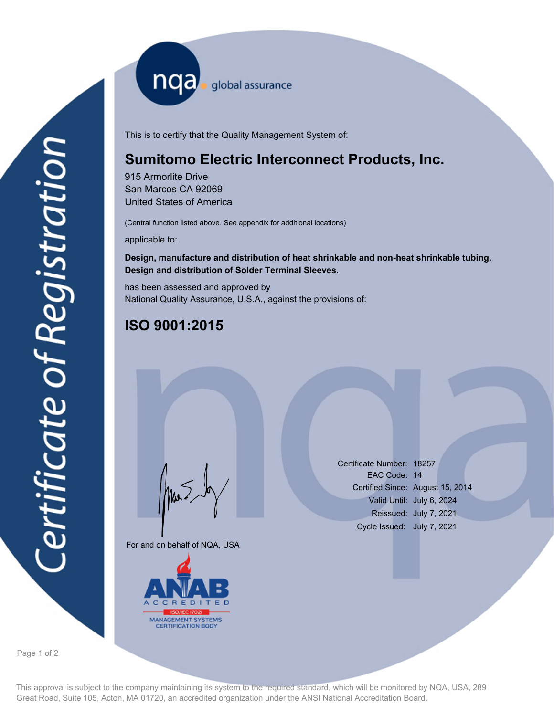nqa <sub>global</sub> assurance

This is to certify that the Quality Management System of:

## **Sumitomo Electric Interconnect Products, Inc.**

915 Armorlite Drive San Marcos CA 92069 United States of America

(Central function listed above. See appendix for additional locations)

applicable to:

#### **Design, manufacture and distribution of heat shrinkable and non-heat shrinkable tubing. Design and distribution of Solder Terminal Sleeves.**

has been assessed and approved by National Quality Assurance, U.S.A., against the provisions of:

# **ISO 9001:2015**

For and on behalf of NQA, USA

Mus



Certificate Number: 18257 EAC Code: 14 Certified Since: August 15, 2014 Valid Until: July 6, 2024 Reissued: July 7, 2021 Cycle Issued: July 7, 2021

Page 1 of 2

This approval is subject to the company maintaining its system to the required standard, which will be monitored by NQA, USA, 289 Great Road, Suite 105, Acton, MA 01720, an accredited organization under the ANSI National Accreditation Board.